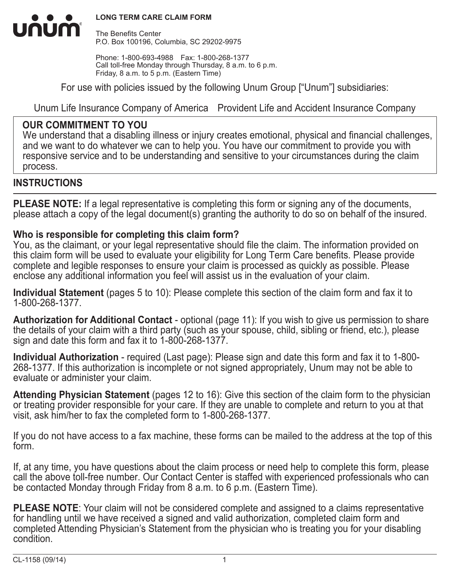

The Benefits Center P.O. Box 100196, Columbia, SC 29202-9975

Phone: 1-800-693-4988 Fax: 1-800-268-1377 Call toll-free Monday through Thursday, 8 a.m. to 6 p.m. Friday, 8 a.m. to 5 p.m. (Eastern Time)

For use with policies issued by the following Unum Group ["Unum"] subsidiaries:

Unum Life Insurance Company of America Provident Life and Accident Insurance Company

## **OUR COMMITMENT TO YOU**

We understand that a disabling illness or injury creates emotional, physical and financial challenges, and we want to do whatever we can to help you. You have our commitment to provide you with responsive service and to be understanding and sensitive to your circumstances during the claim process.

### **INSTRUCTIONS**

mum

**PLEASE NOTE:** If a legal representative is completing this form or signing any of the documents, please attach a copy of the legal document(s) granting the authority to do so on behalf of the insured.

### **Who is responsible for completing this claim form?**

You, as the claimant, or your legal representative should file the claim. The information provided on this claim form will be used to evaluate your eligibility for Long Term Care benefits. Please provide complete and legible responses to ensure your claim is processed as quickly as possible. Please enclose any additional information you feel will assist us in the evaluation of your claim.

**Individual Statement** (pages 5 to 10): Please complete this section of the claim form and fax it to 1-800-268-1377.

**Authorization for Additional Contact** - optional (page 11): If you wish to give us permission to share the details of your claim with a third party (such as your spouse, child, sibling or friend, etc.), please sign and date this form and fax it to 1-800-268-1377.

**Individual Authorization** - required (Last page): Please sign and date this form and fax it to 1-800- 268-1377. If this authorization is incomplete or not signed appropriately, Unum may not be able to evaluate or administer your claim.

**Attending Physician Statement** (pages 12 to 16): Give this section of the claim form to the physician or treating provider responsible for your care. If they are unable to complete and return to you at that visit, ask him/her to fax the completed form to 1-800-268-1377.

If you do not have access to a fax machine, these forms can be mailed to the address at the top of this form.

If, at any time, you have questions about the claim process or need help to complete this form, please call the above toll-free number. Our Contact Center is staffed with experienced professionals who can be contacted Monday through Friday from 8 a.m. to 6 p.m. (Eastern Time).

**PLEASE NOTE**: Your claim will not be considered complete and assigned to a claims representative for handling until we have received a signed and valid authorization, completed claim form and completed Attending Physician's Statement from the physician who is treating you for your disabling condition.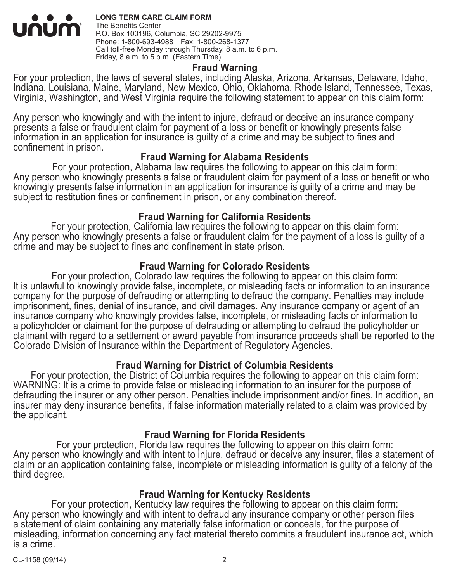#### **LONG TERM CARE CLAIM FORM** <u>UNUM</u> The Benefits Center P.O. Box 100196, Columbia, SC 29202-9975 Phone: 1-800-693-4988 Fax: 1-800-268-1377 Call toll-free Monday through Thursday, 8 a.m. to 6 p.m. Friday, 8 a.m. to 5 p.m. (Eastern Time)

#### **Fraud Warning**

For your protection, the laws of several states, including Alaska, Arizona, Arkansas, Delaware, Idaho, Indiana, Louisiana, Maine, Maryland, New Mexico, Ohio, Oklahoma, Rhode Island, Tennessee, Texas, Virginia, Washington, and West Virginia require the following statement to appear on this claim form:

Any person who knowingly and with the intent to injure, defraud or deceive an insurance company presents a false or fraudulent claim for payment of a loss or benefit or knowingly presents false information in an application for insurance is guilty of a crime and may be subject to fines and confinement in prison.

#### **Fraud Warning for Alabama Residents**

For your protection, Alabama law requires the following to appear on this claim form: Any person who knowingly presents a false or fraudulent claim for payment of a loss or benefit or who knowingly presents false information in an application for insurance is guilty of a crime and may be subject to restitution fines or confinement in prison, or any combination thereof.

#### **Fraud Warning for California Residents**

For your protection, California law requires the following to appear on this claim form: Any person who knowingly presents a false or fraudulent claim for the payment of a loss is quilty of a crime and may be subject to fines and confinement in state prison.

#### **Fraud Warning for Colorado Residents**

For your protection, Colorado law requires the following to appear on this claim form: It is unlawful to knowingly provide false, incomplete, or misleading facts or information to an insurance company for the purpose of defrauding or attempting to defraud the company. Penalties may include imprisonment, fines, denial of insurance, and civil damages. Any insurance company or agent of an insurance company who knowingly provides false, incomplete, or misleading facts or information to a policyholder or claimant for the purpose of defrauding or attempting to defraud the policyholder or claimant with regard to a settlement or award payable from insurance proceeds shall be reported to the Colorado Division of Insurance within the Department of Regulatory Agencies.

### **Fraud Warning for District of Columbia Residents**

For your protection, the District of Columbia requires the following to appear on this claim form: WARNING: It is a crime to provide false or misleading information to an insurer for the purpose of defrauding the insurer or any other person. Penalties include imprisonment and/or fines. In addition, an insurer may deny insurance benefits, if false information materially related to a claim was provided by the applicant.

### **Fraud Warning for Florida Residents**

For your protection, Florida law requires the following to appear on this claim form: Any person who knowingly and with intent to injure, defraud or deceive any insurer, files a statement of claim or an application containing false, incomplete or misleading information is guilty of a felony of the third degree.

### **Fraud Warning for Kentucky Residents**

For your protection, Kentucky law requires the following to appear on this claim form: Any person who knowingly and with intent to defraud any insurance company or other person files a statement of claim containing any materially false information or conceals, for the purpose of misleading, information concerning any fact material thereto commits a fraudulent insurance act, which is a crime.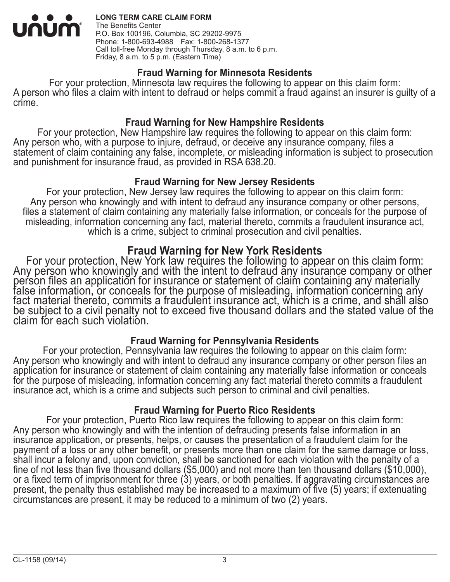

#### **LONG TERM CARE CLAIM FORM**

The Benefits Center P.O. Box 100196, Columbia, SC 29202-9975 Phone: 1-800-693-4988 Fax: 1-800-268-1377 Call toll-free Monday through Thursday, 8 a.m. to 6 p.m. Friday, 8 a.m. to 5 p.m. (Eastern Time)

#### **Fraud Warning for Minnesota Residents**

For your protection, Minnesota law requires the following to appear on this claim form: A person who files a claim with intent to defraud or helps commit a fraud against an insurer is guilty of a crime.

#### **Fraud Warning for New Hampshire Residents**

For your protection, New Hampshire law requires the following to appear on this claim form: Any person who, with a purpose to injure, defraud, or deceive any insurance company, files a statement of claim containing any false, incomplete, or misleading information is subject to prosecution and punishment for insurance fraud, as provided in RSA 638.20.

#### **Fraud Warning for New Jersey Residents**

For your protection, New Jersey law requires the following to appear on this claim form: Any person who knowingly and with intent to defraud any insurance company or other persons, files a statement of claim containing any materially false information, or conceals for the purpose of misleading, information concerning any fact, material thereto, commits a fraudulent insurance act, which is a crime, subject to criminal prosecution and civil penalties.

**Fraud Warning for New York Residents**<br>For your protection, New York law requires the following to appear on this claim form:<br>Any person who knowingly and with the intent to defraud any insurance company or other<br>person fi claim for each such violation.

### **Fraud Warning for Pennsylvania Residents**

For your protection, Pennsylvania law requires the following to appear on this claim form: Any person who knowingly and with intent to defraud any insurance company or other person files an application for insurance or statement of claim containing any materially false information or conceals for the purpose of misleading, information concerning any fact material thereto commits a fraudulent insurance act, which is a crime and subjects such person to criminal and civil penalties.

### **Fraud Warning for Puerto Rico Residents**

For your protection, Puerto Rico law requires the following to appear on this claim form: Any person who knowingly and with the intention of defrauding presents false information in an insurance application, or presents, helps, or causes the presentation of a fraudulent claim for the payment of a loss or any other benefit, or presents more than one claim for the same damage or loss,<br>shall incur a felony and, upon conviction, shall be sanctioned for each violation with the penalty of a fine of not less than five thousand dollars (\$5,000) and not more than ten thousand dollars (\$10,000), or a fixed term of imprisonment for three (3) years, or both penalties. If aggravating circumstances are present, the penalty thus established may be increased to a maximum of five (5) years; if extenuating circumstances are present, it may be reduced to a minimum of two (2) years.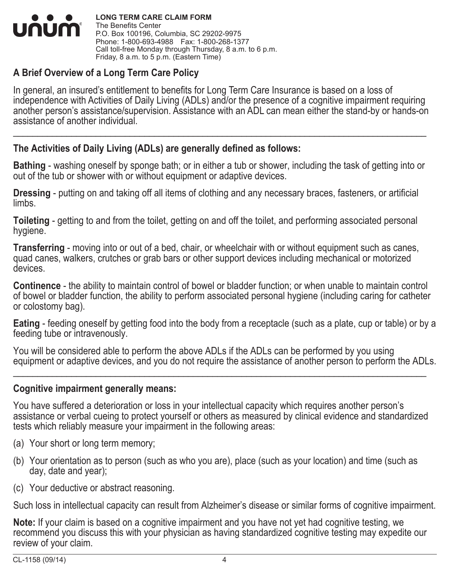

**LONG TERM CARE CLAIM FORM** The Benefits Center P.O. Box 100196, Columbia, SC 29202-9975 Phone: 1-800-693-4988 Fax: 1-800-268-1377 Call toll-free Monday through Thursday, 8 a.m. to 6 p.m. Friday, 8 a.m. to 5 p.m. (Eastern Time)

### **A Brief Overview of a Long Term Care Policy**

In general, an insured's entitlement to benefits for Long Term Care Insurance is based on a loss of independence with Activities of Daily Living (ADLs) and/or the presence of a cognitive impairment requiring another person's assistance/supervision. Assistance with an ADL can mean either the stand-by or hands-on assistance of another individual.

 $\_$  ,  $\_$  ,  $\_$  ,  $\_$  ,  $\_$  ,  $\_$  ,  $\_$  ,  $\_$  ,  $\_$  ,  $\_$  ,  $\_$  ,  $\_$  ,  $\_$  ,  $\_$  ,  $\_$  ,  $\_$  ,  $\_$  ,  $\_$  ,  $\_$  ,  $\_$  ,  $\_$  ,  $\_$  ,  $\_$  ,  $\_$  ,  $\_$  ,  $\_$  ,  $\_$  ,  $\_$  ,  $\_$  ,  $\_$  ,  $\_$  ,  $\_$  ,  $\_$  ,  $\_$  ,  $\_$  ,  $\_$  ,  $\_$  ,

### **The Activities of Daily Living (ADLs) are generally defined as follows:**

**Bathing** - washing oneself by sponge bath; or in either a tub or shower, including the task of getting into or out of the tub or shower with or without equipment or adaptive devices.

**Dressing** - putting on and taking off all items of clothing and any necessary braces, fasteners, or artificial limbs.

**Toileting** - getting to and from the toilet, getting on and off the toilet, and performing associated personal hygiene.

**Transferring** - moving into or out of a bed, chair, or wheelchair with or without equipment such as canes, quad canes, walkers, crutches or grab bars or other support devices including mechanical or motorized devices.

**Continence** - the ability to maintain control of bowel or bladder function; or when unable to maintain control of bowel or bladder function, the ability to perform associated personal hygiene (including caring for catheter or colostomy bag).

**Eating** - feeding oneself by getting food into the body from a receptacle (such as a plate, cup or table) or by a feeding tube or intravenously.

You will be considered able to perform the above ADLs if the ADLs can be performed by you using equipment or adaptive devices, and you do not require the assistance of another person to perform the ADLs.

\_\_\_\_\_\_\_\_\_\_\_\_\_\_\_\_\_\_\_\_\_\_\_\_\_\_\_\_\_\_\_\_\_\_\_\_\_\_\_\_\_\_\_\_\_\_\_\_\_\_\_\_\_\_\_\_\_\_\_\_\_\_\_\_\_\_\_\_\_\_\_\_\_\_\_\_\_\_\_\_\_\_\_\_\_

#### **Cognitive impairment generally means:**

You have suffered a deterioration or loss in your intellectual capacity which requires another person's assistance or verbal cueing to protect yourself or others as measured by clinical evidence and standardized tests which reliably measure your impairment in the following areas:

- (a) Your short or long term memory;
- (b) Your orientation as to person (such as who you are), place (such as your location) and time (such as day, date and year);
- (c) Your deductive or abstract reasoning.

Such loss in intellectual capacity can result from Alzheimer's disease or similar forms of cognitive impairment.

**Note:** If your claim is based on a cognitive impairment and you have not yet had cognitive testing, we recommend you discuss this with your physician as having standardized cognitive testing may expedite our review of your claim.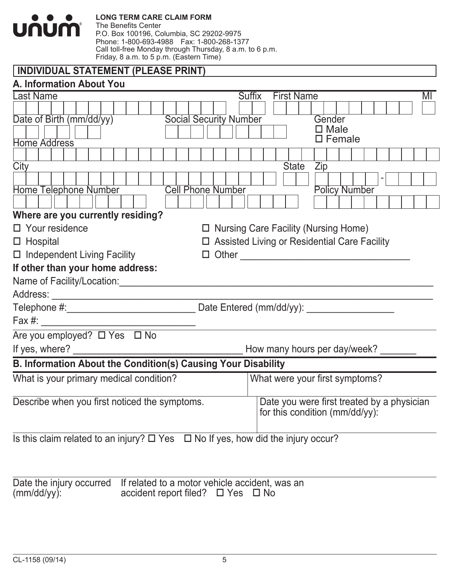|                                    | <b>LONG TERM CARE CLAIM FORM</b><br>The Benefits Center                                                |
|------------------------------------|--------------------------------------------------------------------------------------------------------|
| <u>unumi</u>                       | P.O. Box 100196, Columbia, SC 29202-9975                                                               |
|                                    | Phone: 1-800-693-4988  Fax: 1-800-268-1377<br>Call toll-free Monday through Thursday, 8 a.m. to 6 p.m. |
|                                    | Friday, 8 a.m. to 5 p.m. (Eastern Time)                                                                |
|                                    | <b>INDIVIDUAL STATEMENT (PLEASE PRINT)</b>                                                             |
| A. Information About You           |                                                                                                        |
| <b>Last Name</b>                   | <b>Suffix</b><br><b>First Name</b><br>MI                                                               |
|                                    |                                                                                                        |
| Date of Birth (mm/dd/yy)           | <b>Social Security Number</b><br>Gender<br>$\square$ Male                                              |
| <b>Home Address</b>                | $\square$ Female                                                                                       |
|                                    |                                                                                                        |
| City                               | <b>State</b><br>Zip                                                                                    |
|                                    |                                                                                                        |
| <b>Home Telephone Number</b>       | <b>Policy Number</b><br><b>Cell Phone Number</b>                                                       |
|                                    |                                                                                                        |
| Where are you currently residing?  |                                                                                                        |
| $\Box$ Your residence              | $\Box$ Nursing Care Facility (Nursing Home)                                                            |
| $\Box$ Hospital                    | $\Box$ Assisted Living or Residential Care Facility                                                    |
| $\Box$ Independent Living Facility | $\Box$ Other                                                                                           |
| If other than your home address:   |                                                                                                        |
| Name of Facility/Location:         |                                                                                                        |
| Address:                           |                                                                                                        |
|                                    | Date Entered (mm/dd/yy):                                                                               |
| Fax $#$ :                          |                                                                                                        |
| Are you employed? □ Yes □ No       |                                                                                                        |
| If yes, where?                     | How many hours per day/week?                                                                           |
|                                    | <b>B. Information About the Condition(s) Causing Your Disability</b>                                   |
|                                    | What is your primary medical condition?<br>What were your first symptoms?                              |
|                                    | Describe when you first noticed the symptoms.<br>Date you were first treated by a physician            |
|                                    | for this condition (mm/dd/yy):                                                                         |
|                                    | Is this claim related to an injury? $\Box$ Yes $\Box$ No If yes, how did the injury occur?             |
|                                    |                                                                                                        |
| Date the injury occurred           | If related to a motor vehicle accident, was an                                                         |

 $(mm/dd/yy)$ : accident report filed?  $\Box$  Yes  $\Box$  No bace the hijdi y<br>(mm/dd/yy):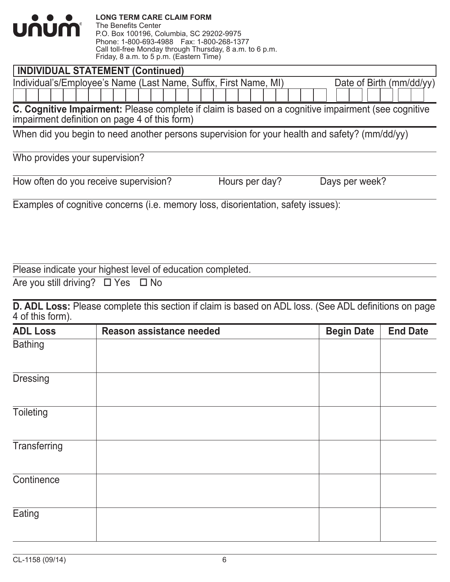| $\bullet$ $\bullet$ $\bullet$<br><u>unum'</u> | <b>LONG TERM CARE CLAIM FORM</b><br>The Benefits Center<br>P.O. Box 100196, Columbia, SC 29202-9975<br>Phone: 1-800-693-4988  Fax: 1-800-268-1377<br>Call toll-free Monday through Thursday, 8 a.m. to 6 p.m.<br>Friday, 8 a.m. to 5 p.m. (Eastern Time) |
|-----------------------------------------------|----------------------------------------------------------------------------------------------------------------------------------------------------------------------------------------------------------------------------------------------------------|
|                                               | <b>INDIVIDUAL STATEMENT (Continued)</b>                                                                                                                                                                                                                  |
|                                               | Individual's/Employee's Name (Last Name, Suffix, First Name, MI)<br>Date of Birth $(mm/dd/yy)$                                                                                                                                                           |
|                                               | <b>C. Cognitive Impairment:</b> Please complete if claim is based on a cognitive impairment (see cognitive<br>impairment definition on page 4 of this form)                                                                                              |
|                                               | When did you begin to need another persons supervision for your health and safety? (mm/dd/yy)                                                                                                                                                            |
| Who provides your supervision?                |                                                                                                                                                                                                                                                          |

| THIS PISTIMOS TOM. CAPS! HOISIT! |  |  |
|----------------------------------|--|--|
|                                  |  |  |
|                                  |  |  |

| How often do you receive supervision? |  |  |
|---------------------------------------|--|--|
|---------------------------------------|--|--|

Hours per day? Days per week?

Examples of cognitive concerns (i.e. memory loss, disorientation, safety issues):

Please indicate your highest level of education completed.

Are you still driving?  $\Box$  Yes  $\Box$  No

**D. ADL Loss:** Please complete this section if claim is based on ADL loss. (See ADL definitions on page 4 of this form).

| <b>ADL Loss</b>  | Reason assistance needed | <b>Begin Date</b> | <b>End Date</b> |
|------------------|--------------------------|-------------------|-----------------|
| <b>Bathing</b>   |                          |                   |                 |
| <b>Dressing</b>  |                          |                   |                 |
| <b>Toileting</b> |                          |                   |                 |
| Transferring     |                          |                   |                 |
| Continence       |                          |                   |                 |
| Eating           |                          |                   |                 |
|                  |                          |                   |                 |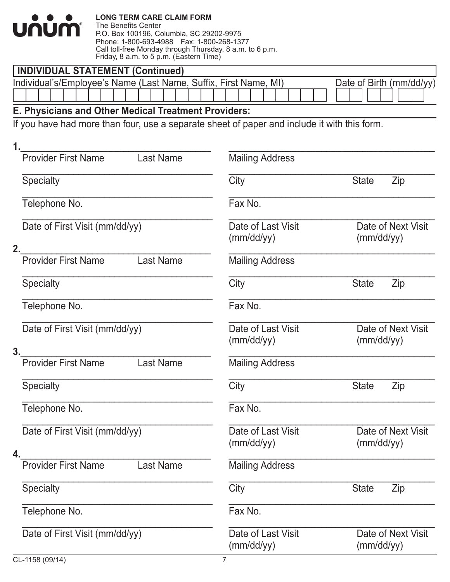| <u>UNUM®</u>                                                     | <b>LONG TERM CARE CLAIM FORM</b><br>The Benefits Center<br>P.O. Box 100196, Columbia, SC 29202-9975<br>Phone: 1-800-693-4988  Fax: 1-800-268-1377<br>Call toll-free Monday through Thursday, 8 a.m. to 6 p.m.<br>Friday, 8 a.m. to 5 p.m. (Eastern Time) |                                                                                              |              |                          |
|------------------------------------------------------------------|----------------------------------------------------------------------------------------------------------------------------------------------------------------------------------------------------------------------------------------------------------|----------------------------------------------------------------------------------------------|--------------|--------------------------|
| <b>INDIVIDUAL STATEMENT (Continued)</b>                          |                                                                                                                                                                                                                                                          |                                                                                              |              |                          |
| Individual's/Employee's Name (Last Name, Suffix, First Name, MI) |                                                                                                                                                                                                                                                          |                                                                                              |              | Date of Birth (mm/dd/yy) |
| E. Physicians and Other Medical Treatment Providers:             |                                                                                                                                                                                                                                                          |                                                                                              |              |                          |
|                                                                  |                                                                                                                                                                                                                                                          | If you have had more than four, use a separate sheet of paper and include it with this form. |              |                          |
| 1.                                                               |                                                                                                                                                                                                                                                          |                                                                                              |              |                          |
| <b>Provider First Name</b>                                       | <b>Last Name</b>                                                                                                                                                                                                                                         | <b>Mailing Address</b>                                                                       |              |                          |
| <b>Specialty</b>                                                 |                                                                                                                                                                                                                                                          | City                                                                                         | <b>State</b> | Zip                      |
| Telephone No.                                                    |                                                                                                                                                                                                                                                          | Fax No.                                                                                      |              |                          |
| Date of First Visit (mm/dd/yy)<br>2.                             |                                                                                                                                                                                                                                                          | Date of Last Visit<br>(mm/dd/yy)                                                             | (mm/dd/yy)   | Date of Next Visit       |
| <b>Provider First Name</b>                                       | <b>Last Name</b>                                                                                                                                                                                                                                         | <b>Mailing Address</b>                                                                       |              |                          |
| Specialty                                                        |                                                                                                                                                                                                                                                          | City                                                                                         | <b>State</b> | Zip                      |
| Telephone No.                                                    |                                                                                                                                                                                                                                                          | Fax No.                                                                                      |              |                          |
| Date of First Visit (mm/dd/yy)<br>3.                             |                                                                                                                                                                                                                                                          | Date of Last Visit<br>(mm/dd/yy)                                                             | (mm/dd/yy)   | Date of Next Visit       |
| <b>Provider First Name</b>                                       | <b>Last Name</b>                                                                                                                                                                                                                                         | <b>Mailing Address</b>                                                                       |              |                          |
| <b>Specialty</b>                                                 |                                                                                                                                                                                                                                                          | City                                                                                         | <b>State</b> | Zip                      |
| Telephone No.                                                    |                                                                                                                                                                                                                                                          | Fax No.                                                                                      |              |                          |
| Date of First Visit (mm/dd/yy)<br>4.                             |                                                                                                                                                                                                                                                          | Date of Last Visit<br>(mm/dd/yy)                                                             | (mm/dd/yy)   | Date of Next Visit       |
| <b>Provider First Name</b>                                       | <b>Last Name</b>                                                                                                                                                                                                                                         | <b>Mailing Address</b>                                                                       |              |                          |
| <b>Specialty</b>                                                 |                                                                                                                                                                                                                                                          | City                                                                                         | <b>State</b> | Zip                      |
| Telephone No.                                                    |                                                                                                                                                                                                                                                          | Fax No.                                                                                      |              |                          |
| Date of First Visit (mm/dd/yy)                                   |                                                                                                                                                                                                                                                          | Date of Last Visit<br>(mm/dd/yy)                                                             | (mm/dd/yy)   | Date of Next Visit       |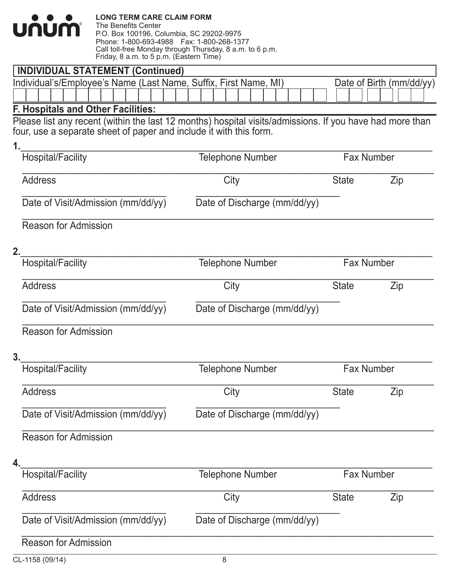| .    | <b>LONG TERM CARE CLAIM FORM</b>                         |
|------|----------------------------------------------------------|
|      | The Benefits Center                                      |
| JNUM | P.O. Box 100196, Columbia, SC 29202-9975                 |
|      | Phone: 1-800-693-4988    Fax: 1-800-268-1377             |
|      | Call toll-free Monday through Thursday, 8 a.m. to 6 p.m. |
|      | Friday, 8 a.m. to 5 p.m. (Eastern Time)                  |

L

| <b>INDIVIDUAL STATEMENT (Continued)</b>                                                                  |                              |                   |                          |
|----------------------------------------------------------------------------------------------------------|------------------------------|-------------------|--------------------------|
| Individual's/Employee's Name (Last Name, Suffix, First Name, MI)                                         |                              |                   | Date of Birth (mm/dd/yy) |
|                                                                                                          |                              |                   |                          |
| <b>F. Hospitals and Other Facilities:</b>                                                                |                              |                   |                          |
| Please list any recent (within the last 12 months) hospital visits/admissions. If you have had more than |                              |                   |                          |
| four, use a separate sheet of paper and include it with this form.                                       |                              |                   |                          |
| 1.                                                                                                       |                              |                   |                          |
| <b>Hospital/Facility</b>                                                                                 | <b>Telephone Number</b>      | <b>Fax Number</b> |                          |
| <b>Address</b>                                                                                           | City                         | <b>State</b>      | Zip                      |
| Date of Visit/Admission (mm/dd/yy)                                                                       | Date of Discharge (mm/dd/yy) |                   |                          |
| <b>Reason for Admission</b>                                                                              |                              |                   |                          |
| 2.                                                                                                       |                              |                   |                          |
| <b>Hospital/Facility</b>                                                                                 | <b>Telephone Number</b>      | <b>Fax Number</b> |                          |
| <b>Address</b>                                                                                           | City                         | <b>State</b>      | Zip                      |
| Date of Visit/Admission (mm/dd/yy)                                                                       | Date of Discharge (mm/dd/yy) |                   |                          |
| <b>Reason for Admission</b>                                                                              |                              |                   |                          |
| 3.                                                                                                       |                              |                   |                          |
| <b>Hospital/Facility</b>                                                                                 | <b>Telephone Number</b>      | <b>Fax Number</b> |                          |
| <b>Address</b>                                                                                           | City                         | State             | Zip                      |
| Date of Visit/Admission (mm/dd/yy)                                                                       | Date of Discharge (mm/dd/yy) |                   |                          |
| <b>Reason for Admission</b>                                                                              |                              |                   |                          |
| 4.                                                                                                       |                              |                   |                          |
| <b>Hospital/Facility</b>                                                                                 | <b>Telephone Number</b>      | <b>Fax Number</b> |                          |
| <b>Address</b>                                                                                           | City                         | <b>State</b>      | Zip                      |
| Date of Visit/Admission (mm/dd/yy)                                                                       | Date of Discharge (mm/dd/yy) |                   |                          |
| <b>Reason for Admission</b>                                                                              |                              |                   |                          |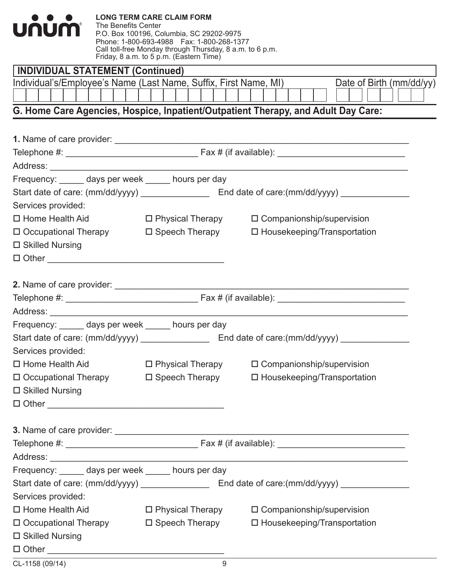| <u>UNUM'</u>                                                     | <b>LONG TERM CARE CLAIM FORM</b><br>The Benefits Center<br>P.O. Box 100196, Columbia, SC 29202-9975<br>Phone: 1-800-693-4988  Fax: 1-800-268-1377<br>Call toll-free Monday through Thursday, 8 a.m. to 6 p.m.<br>Friday, 8 a.m. to 5 p.m. (Eastern Time) |                                                                                   |  |
|------------------------------------------------------------------|----------------------------------------------------------------------------------------------------------------------------------------------------------------------------------------------------------------------------------------------------------|-----------------------------------------------------------------------------------|--|
| <b>INDIVIDUAL STATEMENT (Continued)</b>                          |                                                                                                                                                                                                                                                          |                                                                                   |  |
| Individual's/Employee's Name (Last Name, Suffix, First Name, MI) |                                                                                                                                                                                                                                                          | Date of Birth (mm/dd/yy)                                                          |  |
|                                                                  |                                                                                                                                                                                                                                                          |                                                                                   |  |
|                                                                  |                                                                                                                                                                                                                                                          | G. Home Care Agencies, Hospice, Inpatient/Outpatient Therapy, and Adult Day Care: |  |
|                                                                  |                                                                                                                                                                                                                                                          |                                                                                   |  |
|                                                                  |                                                                                                                                                                                                                                                          |                                                                                   |  |
|                                                                  |                                                                                                                                                                                                                                                          |                                                                                   |  |
|                                                                  |                                                                                                                                                                                                                                                          |                                                                                   |  |
| Frequency: ______ days per week _____ hours per day              |                                                                                                                                                                                                                                                          |                                                                                   |  |
|                                                                  |                                                                                                                                                                                                                                                          |                                                                                   |  |
| Services provided:                                               |                                                                                                                                                                                                                                                          |                                                                                   |  |
| $\Box$ Home Health Aid                                           | $\square$ Physical Therapy                                                                                                                                                                                                                               | $\Box$ Companionship/supervision                                                  |  |
| □ Occupational Therapy □ Speech Therapy                          |                                                                                                                                                                                                                                                          | $\Box$ Housekeeping/Transportation                                                |  |
| $\square$ Skilled Nursing                                        |                                                                                                                                                                                                                                                          |                                                                                   |  |
|                                                                  |                                                                                                                                                                                                                                                          |                                                                                   |  |
|                                                                  |                                                                                                                                                                                                                                                          |                                                                                   |  |
|                                                                  |                                                                                                                                                                                                                                                          |                                                                                   |  |
|                                                                  |                                                                                                                                                                                                                                                          |                                                                                   |  |
| Address: __________                                              |                                                                                                                                                                                                                                                          |                                                                                   |  |
| Frequency: ______ days per week _____ hours per day              |                                                                                                                                                                                                                                                          |                                                                                   |  |
|                                                                  |                                                                                                                                                                                                                                                          |                                                                                   |  |
| Services provided:                                               |                                                                                                                                                                                                                                                          |                                                                                   |  |
| $\Box$ Home Health Aid                                           | □ Physical Therapy                                                                                                                                                                                                                                       | □ Companionship/supervision                                                       |  |
| □ Occupational Therapy □ Speech Therapy                          |                                                                                                                                                                                                                                                          | □ Housekeeping/Transportation                                                     |  |
| $\square$ Skilled Nursing                                        |                                                                                                                                                                                                                                                          |                                                                                   |  |
| $\Box$ $\Box$                                                    |                                                                                                                                                                                                                                                          |                                                                                   |  |
|                                                                  |                                                                                                                                                                                                                                                          |                                                                                   |  |
|                                                                  |                                                                                                                                                                                                                                                          |                                                                                   |  |
|                                                                  |                                                                                                                                                                                                                                                          |                                                                                   |  |
|                                                                  |                                                                                                                                                                                                                                                          |                                                                                   |  |
| Frequency: ______ days per week _____ hours per day              |                                                                                                                                                                                                                                                          |                                                                                   |  |
|                                                                  |                                                                                                                                                                                                                                                          |                                                                                   |  |
| Services provided:                                               |                                                                                                                                                                                                                                                          |                                                                                   |  |
| $\Box$ Home Health Aid                                           |                                                                                                                                                                                                                                                          | □ Physical Therapy □ Companionship/supervision                                    |  |
| □ Occupational Therapy □ Speech Therapy                          |                                                                                                                                                                                                                                                          | $\Box$ Housekeeping/Transportation                                                |  |
| $\square$ Skilled Nursing                                        |                                                                                                                                                                                                                                                          |                                                                                   |  |
|                                                                  |                                                                                                                                                                                                                                                          |                                                                                   |  |
|                                                                  |                                                                                                                                                                                                                                                          |                                                                                   |  |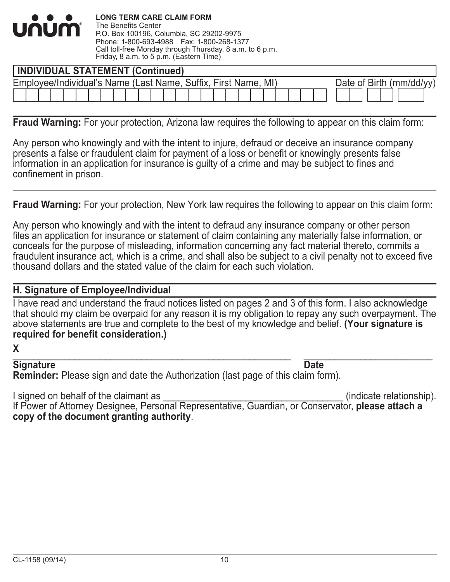

| <b>INDIVIDUAL STATEMENT (Continued)</b>                        |  |  |  |  |  |  |  |  |  |  |  |  |  |  |                         |
|----------------------------------------------------------------|--|--|--|--|--|--|--|--|--|--|--|--|--|--|-------------------------|
| Employee/Individual's Name (Last Name, Suffix, First Name, MI) |  |  |  |  |  |  |  |  |  |  |  |  |  |  | Date of Birth (mm/dd/vv |
|                                                                |  |  |  |  |  |  |  |  |  |  |  |  |  |  |                         |

 $\overline{a}$ **Fraud Warning:** For your protection, Arizona law requires the following to appear on this claim form:

Any person who knowingly and with the intent to injure, defraud or deceive an insurance company presents a false or fraudulent claim for payment of a loss or benefit or knowingly presents false information in an application for insurance is guilty of a crime and may be subject to fines and confinement in prison.

**Fraud Warning:** For your protection, New York law requires the following to appear on this claim form:

Any person who knowingly and with the intent to defraud any insurance company or other person files an application for insurance or statement of claim containing any materially false information, or conceals for the purpose of misleading, information concerning any fact material thereto, commits a fraudulent insurance act, which is a crime, and shall also be subject to a civil penalty not to exceed five thousand dollars and the stated value of the claim for each such violation.

#### **H. Signature of Employee/Individual**

I have read and understand the fraud notices listed on pages 2 and 3 of this form. I also acknowledge that should my claim be overpaid for any reason it is my obligation to repay any such overpayment. The above statements are true and complete to the best of my knowledge and belief. **(Your signature is required for benefit consideration.)**

**X**

#### \_\_\_\_\_\_\_\_\_\_\_\_\_\_\_\_\_\_\_\_\_\_\_\_\_\_\_\_\_\_\_\_\_\_\_\_\_\_\_\_\_\_\_\_\_\_\_\_\_\_\_\_\_\_ \_\_\_\_\_\_\_\_\_\_\_\_\_\_\_\_\_\_\_\_\_\_\_\_\_ **Signature Date**

**Reminder:** Please sign and date the Authorization (last page of this claim form).

I signed on behalf of the claimant as  $\blacksquare$ 

If Power of Attorney Designee, Personal Representative, Guardian, or Conservator, **please attach a copy of the document granting authority**.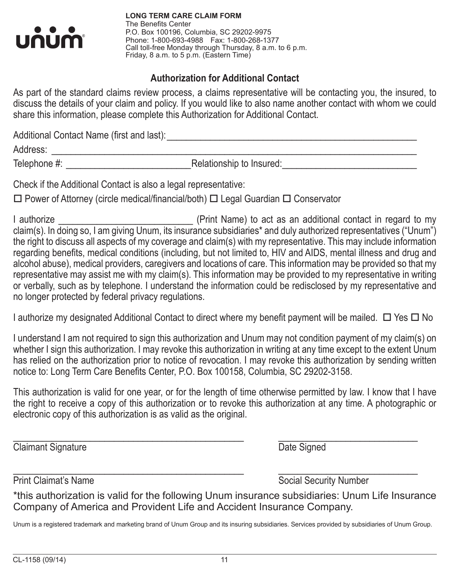

**LONG TERM CARE CLAIM FORM** The Benefits Center P.O. Box 100196, Columbia, SC 29202-9975 Phone: 1-800-693-4988 Fax: 1-800-268-1377 Call toll-free Monday through Thursday, 8 a.m. to 6 p.m. Friday, 8 a.m. to 5 p.m. (Eastern Time)

### **Authorization for Additional Contact**

As part of the standard claims review process, a claims representative will be contacting you, the insured, to discuss the details of your claim and policy. If you would like to also name another contact with whom we could share this information, please complete this Authorization for Additional Contact.

Additional Contact Name (first and last):\_\_\_\_\_\_\_\_\_\_\_\_\_\_\_\_\_\_\_\_\_\_\_\_\_\_\_\_\_\_\_\_\_\_\_\_\_\_\_\_\_\_\_\_\_\_\_\_\_\_\_\_

Address: \_\_\_\_\_\_\_\_\_\_\_\_\_\_\_\_\_\_\_\_\_\_\_\_\_\_\_\_\_\_\_\_\_\_\_\_\_\_\_\_\_\_\_\_\_\_\_\_\_\_\_\_\_\_\_\_\_\_\_\_\_\_\_\_\_\_\_\_\_\_\_\_\_\_\_\_

Telephone #: \_\_\_\_\_\_\_\_\_\_\_\_\_\_\_\_\_\_\_\_\_\_\_\_\_\_Relationship to Insured:\_\_\_\_\_\_\_\_\_\_\_\_\_\_\_\_\_\_\_\_\_\_\_\_\_\_\_\_

Check if the Additional Contact is also a legal representative:

 $\Box$  Power of Attorney (circle medical/financial/both)  $\Box$  Legal Guardian  $\Box$  Conservator

I authorize \_\_\_\_\_\_\_\_\_\_\_\_\_\_\_\_\_\_\_\_\_\_\_\_\_\_\_\_ (Print Name) to act as an additional contact in regard to my claim(s). In doing so, I am giving Unum, its insurance subsidiaries\* and duly authorized representatives ("Unum") the right to discuss all aspects of my coverage and claim(s) with my representative. This may include information regarding benefits, medical conditions (including, but not limited to, HIV and AIDS, mental illness and drug and alcohol abuse), medical providers, caregivers and locations of care. This information may be provided so that my representative may assist me with my claim(s). This information may be provided to my representative in writing or verbally, such as by telephone. I understand the information could be redisclosed by my representative and no longer protected by federal privacy regulations.

I authorize my designated Additional Contact to direct where my benefit payment will be mailed.  $\Box$  Yes  $\Box$  No

I understand I am not required to sign this authorization and Unum may not condition payment of my claim(s) on whether I sign this authorization. I may revoke this authorization in writing at any time except to the extent Unum has relied on the authorization prior to notice of revocation. I may revoke this authorization by sending written notice to: Long Term Care Benefits Center, P.O. Box 100158, Columbia, SC 29202-3158.

This authorization is valid for one year, or for the length of time otherwise permitted by law. I know that I have the right to receive a copy of this authorization or to revoke this authorization at any time. A photographic or electronic copy of this authorization is as valid as the original.

 $\_$  ,  $\_$  ,  $\_$  ,  $\_$  ,  $\_$  ,  $\_$  ,  $\_$  ,  $\_$  ,  $\_$  ,  $\_$  ,  $\_$  ,  $\_$  ,  $\_$  ,  $\_$  ,  $\_$  ,  $\_$  ,  $\_$  ,  $\_$  ,  $\_$  ,  $\_$  ,  $\_$  ,  $\_$  ,  $\_$  ,  $\_$  ,  $\_$  ,  $\_$  ,  $\_$  ,  $\_$  ,  $\_$  ,  $\_$  ,  $\_$  ,  $\_$  ,  $\_$  ,  $\_$  ,  $\_$  ,  $\_$  ,  $\_$  , **Claimant Signature** Date Signed

 $\_$  ,  $\_$  ,  $\_$  ,  $\_$  ,  $\_$  ,  $\_$  ,  $\_$  ,  $\_$  ,  $\_$  ,  $\_$  ,  $\_$  ,  $\_$  ,  $\_$  ,  $\_$  ,  $\_$  ,  $\_$  ,  $\_$  ,  $\_$  ,  $\_$  ,  $\_$  ,  $\_$  ,  $\_$  ,  $\_$  ,  $\_$  ,  $\_$  ,  $\_$  ,  $\_$  ,  $\_$  ,  $\_$  ,  $\_$  ,  $\_$  ,  $\_$  ,  $\_$  ,  $\_$  ,  $\_$  ,  $\_$  ,  $\_$  , Print Claimat's Name Social Security Number

\*this authorization is valid for the following Unum insurance subsidiaries: Unum Life Insurance Company of America and Provident Life and Accident Insurance Company.

Unum is a registered trademark and marketing brand of Unum Group and its insuring subsidiaries. Services provided by subsidiaries of Unum Group.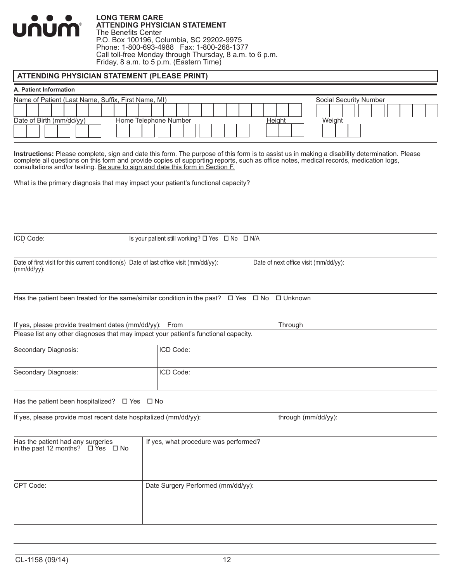

#### **LONG TERM CARE ATTENDING PHYSICIAN STATEMENT** The Benefits Center P.O. Box 100196, Columbia, SC 29202-9975 Phone: 1-800-693-4988 Fax: 1-800-268-1377 Call toll-free Monday through Thursday, 8 a.m. to 6 p.m. Friday, 8 a.m. to 5 p.m. (Eastern Time)

#### **ATTENDING PHYSICIAN STATEMENT (PLEASE PRINT)**

#### **A. Patient Information**

|  | Name of Patient (Last Name, Suffix, First Name, MI) |  |  |  |  |  |                       |  |  |  |  |  | Social Security Number |         |  |  |  |  |
|--|-----------------------------------------------------|--|--|--|--|--|-----------------------|--|--|--|--|--|------------------------|---------|--|--|--|--|
|  |                                                     |  |  |  |  |  |                       |  |  |  |  |  |                        |         |  |  |  |  |
|  | Date of Birth (mm/dd/yy)                            |  |  |  |  |  | Home Telephone Number |  |  |  |  |  |                        | 'Veiaht |  |  |  |  |
|  |                                                     |  |  |  |  |  |                       |  |  |  |  |  |                        |         |  |  |  |  |

**Instructions:** Please complete, sign and date this form. The purpose of this form is to assist us in making a disability determination. Please complete all questions on this form and provide copies of supporting reports, such as office notes, medical records, medication logs, consultations and/or testing. Be sure to sign and date this form in Section F.

What is the primary diagnosis that may impact your patient's functional capacity?

| ICD Code:                                                                                                     | Is your patient still working? □ Yes □ No □ N/A |                                       |
|---------------------------------------------------------------------------------------------------------------|-------------------------------------------------|---------------------------------------|
|                                                                                                               |                                                 |                                       |
| Date of first visit for this current condition(s) Date of last office visit ( $mm/dd/yy$ ):<br>$(mm/dd/yy)$ : |                                                 | Date of next office visit (mm/dd/yy): |
|                                                                                                               |                                                 |                                       |
| Has the patient been treated for the same/similar condition in the past? $\Box$ Yes $\Box$ No $\Box$ Unknown  |                                                 |                                       |
|                                                                                                               |                                                 |                                       |
| If yes, please provide treatment dates (mm/dd/yy): From                                                       |                                                 | Through                               |
| Please list any other diagnoses that may impact your patient's functional capacity.                           |                                                 |                                       |
| Secondary Diagnosis:                                                                                          | ICD Code:                                       |                                       |
|                                                                                                               |                                                 |                                       |
| Secondary Diagnosis:                                                                                          | ICD Code:                                       |                                       |
|                                                                                                               |                                                 |                                       |
|                                                                                                               |                                                 |                                       |
| If yes, please provide most recent date hospitalized (mm/dd/yy):                                              |                                                 | through (mm/dd/yy):                   |
|                                                                                                               |                                                 |                                       |
| Has the patient had any surgeries<br>in the past 12 months? $\Box$ Yes $\Box$ No                              | If yes, what procedure was performed?           |                                       |
|                                                                                                               |                                                 |                                       |
|                                                                                                               |                                                 |                                       |
| CPT Code:                                                                                                     | Date Surgery Performed (mm/dd/yy):              |                                       |
|                                                                                                               |                                                 |                                       |
|                                                                                                               |                                                 |                                       |
|                                                                                                               |                                                 |                                       |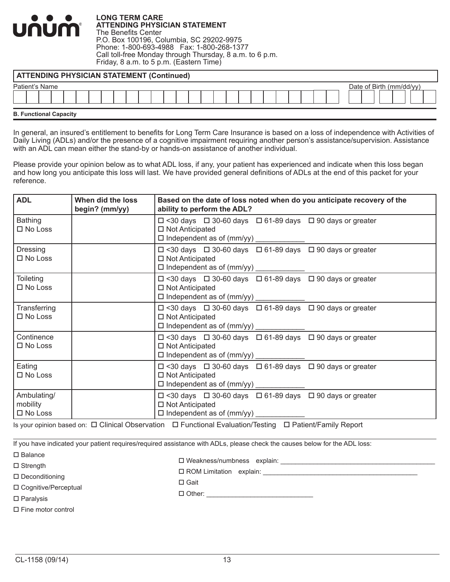**LONG TERM CARE ATTENDING PHYSICIAN STATEMENT** The Benefits Center P.O. Box 100196, Columbia, SC 29202-9975 Phone: 1-800-693-4988 Fax: 1-800-268-1377 Call toll-free Monday through Thursday, 8 a.m. to 6 p.m. Friday, 8 a.m. to 5 p.m. (Eastern Time)

| <b>ATTENDING PHYSICIAN STATEMENT (Continued)</b> |                          |
|--------------------------------------------------|--------------------------|
| Patient's Name                                   | Date of Birth (mm/dd/yy) |
| <b>B. Functional Capacity</b>                    |                          |

In general, an insured's entitlement to benefits for Long Term Care Insurance is based on a loss of independence with Activities of Daily Living (ADLs) and/or the presence of a cognitive impairment requiring another person's assistance/supervision. Assistance with an ADL can mean either the stand-by or hands-on assistance of another individual.

Please provide your opinion below as to what ADL loss, if any, your patient has experienced and indicate when this loss began and how long you anticipate this loss will last. We have provided general definitions of ADLs at the end of this packet for your reference.

| <b>ADL</b>                                   | When did the loss<br>begin? (mm/yy) | Based on the date of loss noted when do you anticipate recovery of the<br>ability to perform the ADL?                                                                                                                                                                 |  |  |  |
|----------------------------------------------|-------------------------------------|-----------------------------------------------------------------------------------------------------------------------------------------------------------------------------------------------------------------------------------------------------------------------|--|--|--|
| <b>Bathing</b><br>$\square$ No Loss          |                                     | $\Box$ <30 days $\Box$ 30-60 days $\Box$ 61-89 days $\Box$ 90 days or greater<br>$\Box$ Not Anticipated<br>□ Independent as of (mm/yy) _____________                                                                                                                  |  |  |  |
| Dressing<br>$\Box$ No Loss                   |                                     | $\Box$ <30 days $\Box$ 30-60 days $\Box$ 61-89 days $\Box$ 90 days or greater<br>□ Not Anticipated<br>□ Independent as of (mm/yy) _____________                                                                                                                       |  |  |  |
| <b>Toileting</b><br>$\square$ No Loss        |                                     | $\Box$ <30 days $\Box$ 30-60 days $\Box$ 61-89 days $\Box$ 90 days or greater<br>$\Box$ Not Anticipated<br>□ Independent as of (mm/yy) _____________                                                                                                                  |  |  |  |
| Transferring<br>$\square$ No Loss            |                                     | $\Box$ <30 days $\Box$ 30-60 days $\Box$ 61-89 days $\Box$ 90 days or greater<br>$\Box$ Not Anticipated<br>□ Independent as of (mm/yy) _________                                                                                                                      |  |  |  |
| Continence<br>$\square$ No Loss              |                                     | $\Box$ <30 days $\Box$ 30-60 days $\Box$ 61-89 days $\Box$ 90 days or greater<br>$\Box$ Not Anticipated<br>□ Independent as of (mm/yy) _____________                                                                                                                  |  |  |  |
| Eating<br>$\square$ No Loss                  |                                     | $\Box$ <30 days $\Box$ 30-60 days $\Box$ 61-89 days $\Box$ 90 days or greater<br>$\Box$ Not Anticipated<br>□ Independent as of (mm/yy) ___________                                                                                                                    |  |  |  |
| Ambulating/<br>mobility<br>$\square$ No Loss |                                     | $\Box$ <30 days $\Box$ 30-60 days $\Box$ 61-89 days $\Box$ 90 days or greater<br>$\Box$ Not Anticipated<br>□ Independent as of (mm/yy) ____________<br>Is vour opinion based on: [7] Clinical Observation [7] Eunctional Evaluation/Testing [7] Patient/Eamily Report |  |  |  |

Is your opinion based on: D Clinical Observation  $\Box$  Functional Evaluation/Testing  $\Box$  Patient/Family Report

If you have indicated your patient requires/required assistance with ADLs, please check the causes below for the ADL loss:

| $\sqcup$ Balance       |                                                     |
|------------------------|-----------------------------------------------------|
| $\Box$ Strength        | □ Weakness/numbness explain:                        |
| □ Deconditioning       | □ ROM Limitation explain: _________________________ |
|                        | $\Box$ Gait                                         |
| □ Cognitive/Perceptual | $\Box$ Other:                                       |
| $\square$ Paralysis    |                                                     |
|                        |                                                     |

 $\square$  Fine motor control

num

 $\blacksquare$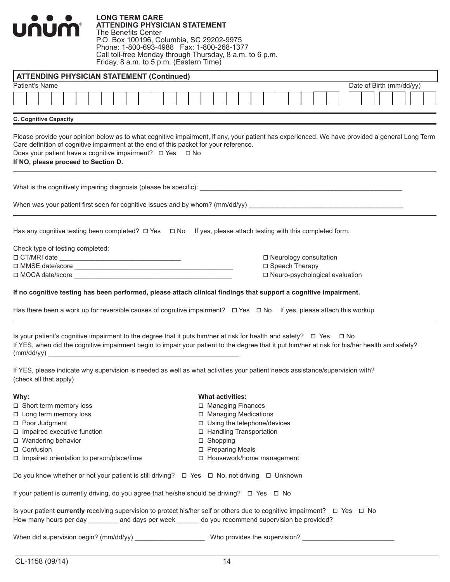| <b>LONG TERM CARE</b><br><b>ATTENDING PHYSICIAN STATEMENT</b><br>U<br>nun<br><b>The Benefits Center</b><br>P.O. Box 100196, Columbia, SC 29202-9975<br>Phone: 1-800-693-4988  Fax: 1-800-268-1377<br>Call toll-free Monday through Thursday, 8 a.m. to 6 p.m.<br>Friday, 8 a.m. to 5 p.m. (Eastern Time)                                                                                |                                                                                                                                                 |
|-----------------------------------------------------------------------------------------------------------------------------------------------------------------------------------------------------------------------------------------------------------------------------------------------------------------------------------------------------------------------------------------|-------------------------------------------------------------------------------------------------------------------------------------------------|
| <b>ATTENDING PHYSICIAN STATEMENT (Continued)</b>                                                                                                                                                                                                                                                                                                                                        |                                                                                                                                                 |
| Patient's Name                                                                                                                                                                                                                                                                                                                                                                          | Date of Birth (mm/dd/yy)                                                                                                                        |
|                                                                                                                                                                                                                                                                                                                                                                                         |                                                                                                                                                 |
| <b>C. Cognitive Capacity</b>                                                                                                                                                                                                                                                                                                                                                            |                                                                                                                                                 |
| Care definition of cognitive impairment at the end of this packet for your reference.<br>Does your patient have a cognitive impairment? □ Yes □ No<br>If NO, please proceed to Section D.                                                                                                                                                                                               | Please provide your opinion below as to what cognitive impairment, if any, your patient has experienced. We have provided a general Long Term   |
|                                                                                                                                                                                                                                                                                                                                                                                         |                                                                                                                                                 |
|                                                                                                                                                                                                                                                                                                                                                                                         | When was your patient first seen for cognitive issues and by whom? $(mm/dd/yy)$                                                                 |
| Has any cognitive testing been completed? $\Box$ Yes $\Box$ No If yes, please attach testing with this completed form.                                                                                                                                                                                                                                                                  |                                                                                                                                                 |
| Check type of testing completed:                                                                                                                                                                                                                                                                                                                                                        |                                                                                                                                                 |
|                                                                                                                                                                                                                                                                                                                                                                                         | □ Neurology consultation                                                                                                                        |
|                                                                                                                                                                                                                                                                                                                                                                                         | □ Speech Therapy                                                                                                                                |
|                                                                                                                                                                                                                                                                                                                                                                                         | □ Neuro-psychological evaluation                                                                                                                |
| If no cognitive testing has been performed, please attach clinical findings that support a cognitive impairment.<br>Has there been a work up for reversible causes of cognitive impairment? □ Yes □ No If yes, please attach this workup<br>Is your patient's cognitive impairment to the degree that it puts him/her at risk for health and safety? $\square$ Yes $\square$ No         | If YES, when did the cognitive impairment begin to impair your patient to the degree that it put him/her at risk for his/her health and safety? |
| the control of the control of the control of the control of the control of the control of the control of the control of the control of the control of the control of the control of the control of the control of the control<br>If YES, please indicate why supervision is needed as well as what activities your patient needs assistance/supervision with?<br>(check all that apply) |                                                                                                                                                 |
| Why:                                                                                                                                                                                                                                                                                                                                                                                    | <b>What activities:</b>                                                                                                                         |
| □ Short term memory loss                                                                                                                                                                                                                                                                                                                                                                | □ Managing Finances                                                                                                                             |
| $\Box$ Long term memory loss                                                                                                                                                                                                                                                                                                                                                            | □ Managing Medications                                                                                                                          |
| □ Poor Judgment                                                                                                                                                                                                                                                                                                                                                                         | □ Using the telephone/devices                                                                                                                   |
| $\square$ Impaired executive function                                                                                                                                                                                                                                                                                                                                                   | □ Handling Transportation                                                                                                                       |
| □ Wandering behavior                                                                                                                                                                                                                                                                                                                                                                    | □ Shopping                                                                                                                                      |
| □ Confusion                                                                                                                                                                                                                                                                                                                                                                             | □ Preparing Meals                                                                                                                               |
| □ Impaired orientation to person/place/time                                                                                                                                                                                                                                                                                                                                             | □ Housework/home management                                                                                                                     |
| Do you know whether or not your patient is still driving?  □ Yes □ No, not driving □ Unknown                                                                                                                                                                                                                                                                                            |                                                                                                                                                 |
| If your patient is currently driving, do you agree that he/she should be driving? $\Box$ Yes $\Box$ No                                                                                                                                                                                                                                                                                  |                                                                                                                                                 |
| Is your patient currently receiving supervision to protect his/her self or others due to cognitive impairment?  □ Yes □ No<br>How many hours per day ________ and days per week ______ do you recommend supervision be provided?                                                                                                                                                        |                                                                                                                                                 |
|                                                                                                                                                                                                                                                                                                                                                                                         |                                                                                                                                                 |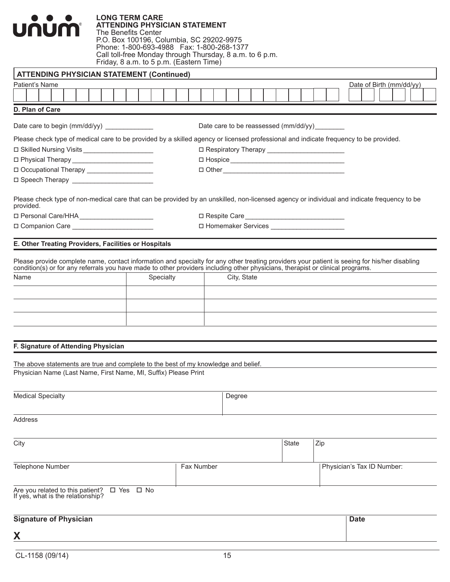# **LONG TERM CARE**  UNUM

**ATTENDING PHYSICIAN STATEMENT** The Benefits Center P.O. Box 100196, Columbia, SC 29202-9975 Phone: 1-800-693-4988 Fax: 1-800-268-1377 Call toll-free Monday through Thursday, 8 a.m. to 6 p.m. Friday, 8 a.m. to 5 p.m. (Eastern Time)

| ATTENDING PHYSICIAN STATEMENT (Continued)            |                                                                                                                                            |                          |
|------------------------------------------------------|--------------------------------------------------------------------------------------------------------------------------------------------|--------------------------|
| Patient's Name                                       |                                                                                                                                            | Date of Birth (mm/dd/yy) |
|                                                      |                                                                                                                                            |                          |
| D. Plan of Care                                      |                                                                                                                                            |                          |
|                                                      | Date care to be reassessed (mm/dd/yy)                                                                                                      |                          |
|                                                      | Please check type of medical care to be provided by a skilled agency or licensed professional and indicate frequency to be provided.       |                          |
| □ Skilled Nursing Visits _____________________       | □ Respiratory Therapy _________________________                                                                                            |                          |
| □ Physical Therapy _________________________         |                                                                                                                                            |                          |
| □ Occupational Therapy ____________________          |                                                                                                                                            |                          |
| D Speech Therapy _________________________           |                                                                                                                                            |                          |
| provided.                                            | Please check type of non-medical care that can be provided by an unskilled, non-licensed agency or individual and indicate frequency to be |                          |
|                                                      |                                                                                                                                            |                          |
|                                                      | □ Homemaker Services ______________________                                                                                                |                          |
| E. Other Treating Providers, Facilities or Hospitals |                                                                                                                                            |                          |

Please provide complete name, contact information and specialty for any other treating providers your patient is seeing for his/her disabling condition(s) or for any referrals you have made to other providers including other physicians, therapist or clinical programs.

| Name | Specialty | City, State |
|------|-----------|-------------|
|      |           |             |
|      |           |             |
|      |           |             |
|      |           |             |

#### **F. Signature of Attending Physician**

The above statements are true and complete to the best of my knowledge and belief. Physician Name (Last Name, First Name, MI, Suffix) Please Print

| <b>Medical Specialty</b>                                                                      |            | Degree |       |                            |
|-----------------------------------------------------------------------------------------------|------------|--------|-------|----------------------------|
| Address                                                                                       |            |        |       |                            |
| City                                                                                          |            |        | State | Zip                        |
| Telephone Number                                                                              | Fax Number |        |       | Physician's Tax ID Number: |
| Are you related to this patient? $\square$ Yes $\square$ No If yes, what is the relationship? |            |        |       |                            |
| and the state of the state of the<br>$  -$<br>. .                                             |            |        |       | $\sim$ $\sim$              |

| <b>Signature of Physician</b> | <b>Date</b> |
|-------------------------------|-------------|
| X                             |             |
|                               |             |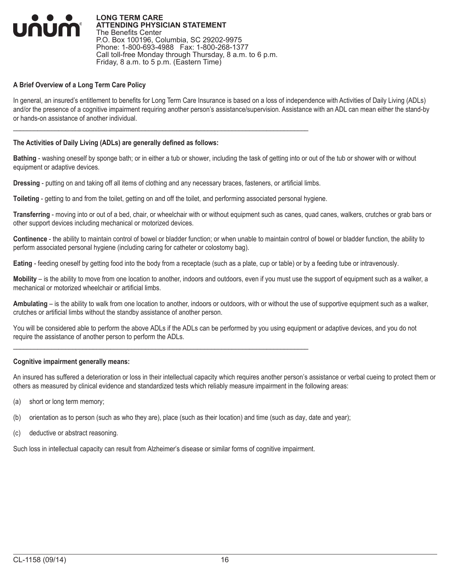

#### **A Brief Overview of a Long Term Care Policy**

In general, an insured's entitlement to benefits for Long Term Care Insurance is based on a loss of independence with Activities of Daily Living (ADLs) and/or the presence of a cognitive impairment requiring another person's assistance/supervision. Assistance with an ADL can mean either the stand-by or hands-on assistance of another individual.

#### **The Activities of Daily Living (ADLs) are generally defined as follows:**

**Bathing** - washing oneself by sponge bath; or in either a tub or shower, including the task of getting into or out of the tub or shower with or without equipment or adaptive devices.

**Dressing** - putting on and taking off all items of clothing and any necessary braces, fasteners, or artificial limbs.

 $\mathcal{L}_\mathcal{L} = \{ \mathcal{L}_\mathcal{L} = \{ \mathcal{L}_\mathcal{L} = \{ \mathcal{L}_\mathcal{L} = \{ \mathcal{L}_\mathcal{L} = \{ \mathcal{L}_\mathcal{L} = \{ \mathcal{L}_\mathcal{L} = \{ \mathcal{L}_\mathcal{L} = \{ \mathcal{L}_\mathcal{L} = \{ \mathcal{L}_\mathcal{L} = \{ \mathcal{L}_\mathcal{L} = \{ \mathcal{L}_\mathcal{L} = \{ \mathcal{L}_\mathcal{L} = \{ \mathcal{L}_\mathcal{L} = \{ \mathcal{L}_\mathcal{$ 

**Toileting** - getting to and from the toilet, getting on and off the toilet, and performing associated personal hygiene.

**Transferring** - moving into or out of a bed, chair, or wheelchair with or without equipment such as canes, quad canes, walkers, crutches or grab bars or other support devices including mechanical or motorized devices.

**Continence** - the ability to maintain control of bowel or bladder function; or when unable to maintain control of bowel or bladder function, the ability to perform associated personal hygiene (including caring for catheter or colostomy bag).

**Eating** - feeding oneself by getting food into the body from a receptacle (such as a plate, cup or table) or by a feeding tube or intravenously.

**Mobility** – is the ability to move from one location to another, indoors and outdoors, even if you must use the support of equipment such as a walker, a mechanical or motorized wheelchair or artificial limbs.

**Ambulating** – is the ability to walk from one location to another, indoors or outdoors, with or without the use of supportive equipment such as a walker, crutches or artificial limbs without the standby assistance of another person.

You will be considered able to perform the above ADLs if the ADLs can be performed by you using equipment or adaptive devices, and you do not require the assistance of another person to perform the ADLs.

#### **Cognitive impairment generally means:**

An insured has suffered a deterioration or loss in their intellectual capacity which requires another person's assistance or verbal cueing to protect them or others as measured by clinical evidence and standardized tests which reliably measure impairment in the following areas:

- (a) short or long term memory;
- (b) orientation as to person (such as who they are), place (such as their location) and time (such as day, date and year);
- (c) deductive or abstract reasoning.

Such loss in intellectual capacity can result from Alzheimer's disease or similar forms of cognitive impairment.

 $\mathcal{L}_\mathcal{L} = \{ \mathcal{L}_\mathcal{L} = \{ \mathcal{L}_\mathcal{L} = \{ \mathcal{L}_\mathcal{L} = \{ \mathcal{L}_\mathcal{L} = \{ \mathcal{L}_\mathcal{L} = \{ \mathcal{L}_\mathcal{L} = \{ \mathcal{L}_\mathcal{L} = \{ \mathcal{L}_\mathcal{L} = \{ \mathcal{L}_\mathcal{L} = \{ \mathcal{L}_\mathcal{L} = \{ \mathcal{L}_\mathcal{L} = \{ \mathcal{L}_\mathcal{L} = \{ \mathcal{L}_\mathcal{L} = \{ \mathcal{L}_\mathcal{$